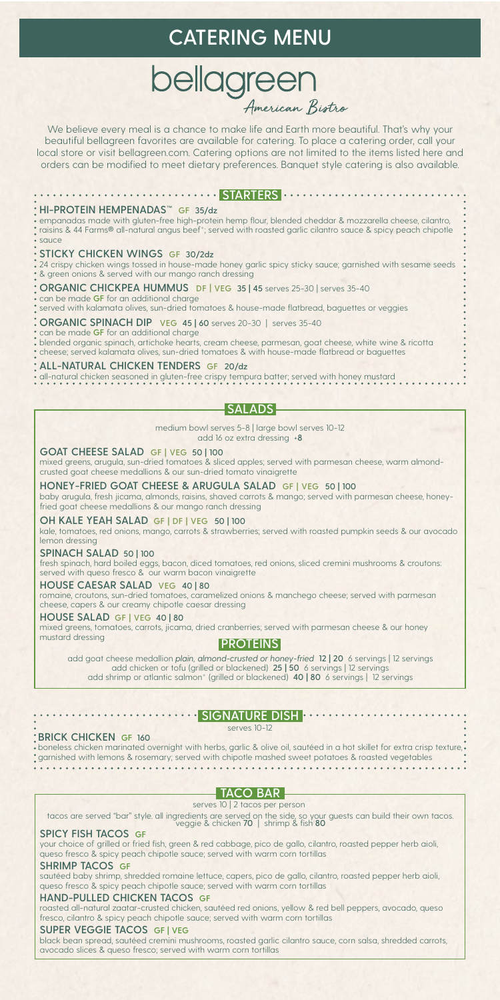### **CATERING MENU**

# **bellagreen**

We believe every meal is a chance to make life and Earth more beautiful. That's why your beautiful bellagreen favorites are available for catering. To place a catering order, call your local store or visit bellagreen.com. Catering options are not limited to the items listed here and orders can be modified to meet dietary preferences. Banquet style catering is also available.

| *HI-PROTEIN HEMPENADAS <sup>™</sup> GF 35/dz<br>• empanadas made with gluten-free high-protein hemp flour, blended cheddar & mozzarella cheese, cilantro,<br>° raisins & 44 Farms® all-natural angus beef*; served with roasted garlic cilantro sauce & spicy peach chipotle<br>· sauce                                       |
|-------------------------------------------------------------------------------------------------------------------------------------------------------------------------------------------------------------------------------------------------------------------------------------------------------------------------------|
| · STICKY CHICKEN WINGS GF 30/2dz<br>24 crispy chicken wings tossed in house-made honey garlic spicy sticky sauce; garnished with sesame seeds<br>• & green onions & served with our mango ranch dressing                                                                                                                      |
| • ORGANIC CHICKPEA HUMMUS DF   VEG 35   45 serves 25-30   serves 35-40<br>can be made GF for an additional charge<br>· served with kalamata olives, sun-dried tomatoes & house-made flatbread, baguettes or veggies                                                                                                           |
| <b>ORGANIC SPINACH DIP</b> VEG 45   60 serves 20-30   serves 35-40<br>. can be made GF for an additional charge<br>$\,$ blended organic spinach, artichoke hearts, cream cheese, parmesan, goat cheese, white wine & ricotta<br>• cheese; served kalamata olives, sun-dried tomatoes & with house-made flatbread or baguettes |
| · ALL-NATURAL CHICKEN TENDERS GF 20/dz<br>. all-natural chicken seasoned in gluten-free crispy tempura batter; served with honey mustard                                                                                                                                                                                      |
|                                                                                                                                                                                                                                                                                                                               |

medium bowl serves 5-8 | large bowl serves 10-12 add 16 oz extra dressing +**8**

**GOAT CHEESE SALAD GF | VEG 50 | 100**

mixed greens, arugula, sun-dried tomatoes & sliced apples; served with parmesan cheese, warm almondcrusted goat cheese medallions & our sun-dried tomato vinaigrette

**HONEY-FRIED GOAT CHEESE & ARUGULA SALAD GF | VEG 50 | 100** baby arugula, fresh jicama, almonds, raisins, shaved carrots & mango; served with parmesan cheese, honeyfried goat cheese medallions & our mango ranch dressing

### **OH KALE YEAH SALAD GF | DF | VEG 50 | 100**

kale, tomatoes, red onions, mango, carrots & strawberries; served with roasted pumpkin seeds & our avocado lemon dressing

### **SPINACH SALAD 50 | 100**

fresh spinach, hard boiled eggs, bacon, diced tomatoes, red onions, sliced cremini mushrooms & croutons: served with queso fresco & our warm bacon vinaigrette

### **HOUSE CAESAR SALAD VEG 40 | 80**

romaine, croutons, sun-dried tomatoes, caramelized onions & manchego cheese; served with parmesan cheese, capers & our creamy chipotle caesar dressing

### **HOUSE SALAD GF | VEG 40 | 80**

mixed greens, tomatoes, carrots, jicama, dried cranberries; served with parmesan cheese & our honey<br>mustard dressing

### **PROTEINS**

add goat cheese medallion *plain, almond-crusted or honey-fried* **12 | 20** 6 servings | 12 servings add chicken or tofu (grilled or blackened) **25 | 50** 6 servings | 12 servings add shrimp or atlantic salmon\* (grilled or blackened) **40 | 80** 6 servings | 12 servings

### **SIGNATURE DISH**

### **BRICK CHICKEN GF 160**

serves 10-12

boneless chicken marinated overnight with herbs, garlic & olive oil, sautéed in a hot skillet for extra crisp texture, garnished with lemons & rosemary; served with chipotle mashed sweet potatoes & roasted vegetables

### **TACO BAR**

serves 10 | 2 tacos per person tacos are served "bar" style. all ingredients are served on the side, so your guests can build their own tacos.<br>veggie & chicken 70 | shrimp & fish 80

### **SPICY FISH TACOS GF**

your choice of grilled or fried fish, green & red cabbage, pico de gallo, cilantro, roasted pepper herb aioli, queso fresco & spicy peach chipotle sauce; served with warm corn tortillas

### **SHRIMP TACOS GF**

sautéed baby shrimp, shredded romaine lettuce, capers, pico de gallo, cilantro, roasted pepper herb aioli, queso fresco & spicy peach chipotle sauce; served with warm corn tortillas

### **HAND-PULLED CHICKEN TACOS GF**

roasted all-natural zaatar-crusted chicken, sautéed red onions, yellow & red bell peppers, avocado, queso fresco, cilantro & spicy peach chipotle sauce; served with warm corn tortillas

### **SUPER VEGGIE TACOS GF | VEG**

black bean spread, sautéed cremini mushrooms, roasted garlic cilantro sauce, corn salsa, shredded carrots, avocado slices & queso fresco; served with warm corn tortillas